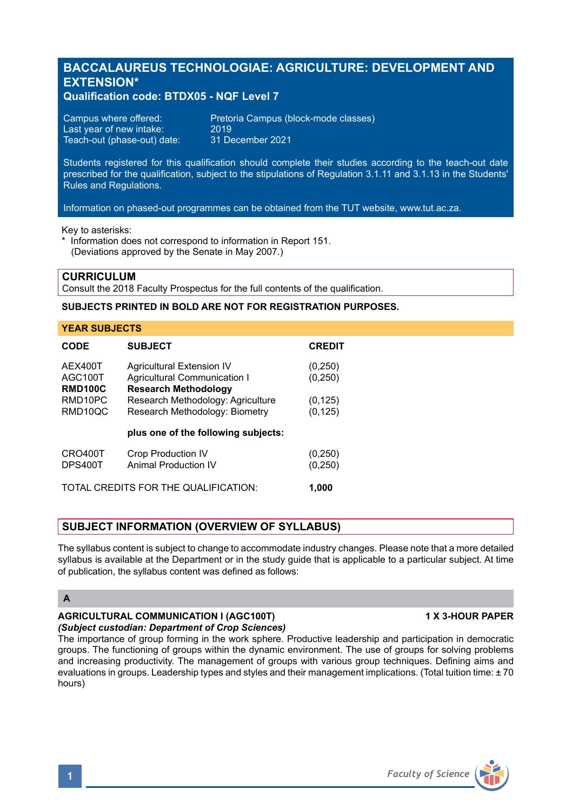# **BACCALAUREUS TECHNOLOGIAE: AGRICULTURE: DEVELOPMENT AND EXTENSION\***

## **Qualification code: BTDX05 - NQF Level 7**

| Campus where offered:       | Preto |
|-----------------------------|-------|
| Last year of new intake:    | 2019  |
| Teach-out (phase-out) date: | 31 D  |

Pretoria Campus (block-mode classes)<br>2019 31 December 2021

Students registered for this qualification should complete their studies according to the teach-out date prescribed for the qualification, subject to the stipulations of Regulation 3.1.11 and 3.1.13 in the Students' Rules and Regulations.

Information on phased-out programmes can be obtained from the TUT website, www.tut.ac.za.

Key to asterisks:

\* Information does not correspond to information in Report 151. (Deviations approved by the Senate in May 2007.)

### **CURRICULUM**

Consult the 2018 Faculty Prospectus for the full contents of the qualification.

### **SUBJECTS PRINTED IN BOLD ARE NOT FOR REGISTRATION PURPOSES.**

#### **YEAR SUBJECTS**

| <b>CODE</b>                                       | <b>SUBJECT</b>                                                                                  | <b>CREDIT</b>        |
|---------------------------------------------------|-------------------------------------------------------------------------------------------------|----------------------|
| AEX400T<br>AGC <sub>100</sub> T<br><b>RMD100C</b> | <b>Agricultural Extension IV</b><br>Agricultural Communication I<br><b>Research Methodology</b> | (0, 250)<br>(0, 250) |
| RMD <sub>10</sub> PC<br>RMD <sub>10</sub> QC      | Research Methodology: Agriculture<br>Research Methodology: Biometry                             | (0, 125)<br>(0, 125) |
|                                                   | plus one of the following subjects:                                                             |                      |
| CRO400T<br>DPS400T                                | <b>Crop Production IV</b><br>Animal Production IV                                               | (0, 250)<br>(0, 250) |
|                                                   | TOTAL CREDITS FOR THE QUALIFICATION:                                                            | 1.000                |

# **SUBJECT INFORMATION (OVERVIEW OF SYLLABUS)**

The syllabus content is subject to change to accommodate industry changes. Please note that a more detailed syllabus is available at the Department or in the study guide that is applicable to a particular subject. At time of publication, the syllabus content was defined as follows:

#### **A**

#### **AGRICULTURAL COMMUNICATION I (AGC100T) 1 X 3-HOUR PAPER** *(Subject custodian: Department of Crop Sciences)*

The importance of group forming in the work sphere. Productive leadership and participation in democratic groups. The functioning of groups within the dynamic environment. The use of groups for solving problems and increasing productivity. The management of groups with various group techniques. Defining aims and evaluations in groups. Leadership types and styles and their management implications. (Total tuition time: ± 70 hours)